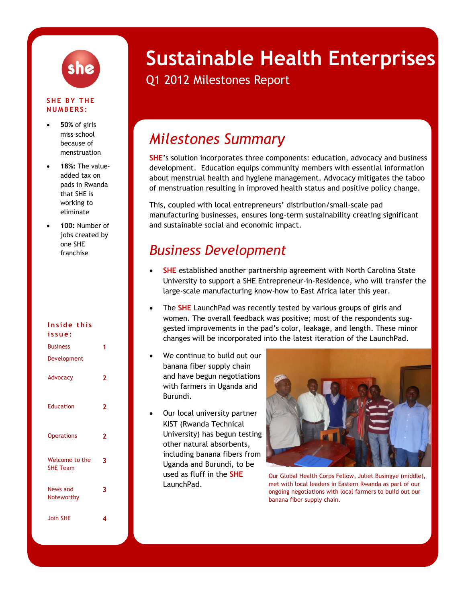

#### **SHE BY THE N U M B E R S :**

- **50%** of girls miss school because of menstruation
- **18%:** The valueadded tax on pads in Rwanda that SHE is working to eliminate
- **100:** Number of jobs created by one SHE franchise

#### **I n s i d e t h i s**

| issue:                            |   |
|-----------------------------------|---|
| <b>Business</b>                   | 1 |
| Development                       |   |
| Advocacy                          | 2 |
| Education                         | 2 |
| <b>Operations</b>                 | 2 |
| Welcome to the<br><b>SHE Team</b> | 3 |
| News and<br>Noteworthy            | 3 |
| <b>Join SHE</b>                   | 4 |

# **Sustainable Health Enterprises**

# Q1 2012 Milestones Report

# *Milestones Summary*

**SHE**'s solution incorporates three components: education, advocacy and business development. Education equips community members with essential information about menstrual health and hygiene management. Advocacy mitigates the taboo of menstruation resulting in improved health status and positive policy change.

This, coupled with local entrepreneurs' distribution/small-scale pad manufacturing businesses, ensures long-term sustainability creating significant and sustainable social and economic impact.

# *Business Development*

- **SHE** established another partnership agreement with North Carolina State University to support a SHE Entrepreneur-in-Residence, who will transfer the large-scale manufacturing know-how to East Africa later this year.
- The **SHE** LaunchPad was recently tested by various groups of girls and women. The overall feedback was positive; most of the respondents suggested improvements in the pad's color, leakage, and length. These minor changes will be incorporated into the latest iteration of the LaunchPad.
- We continue to build out our banana fiber supply chain and have begun negotiations with farmers in Uganda and Burundi.
- Our local university partner KIST (Rwanda Technical University) has begun testing other natural absorbents, including banana fibers from Uganda and Burundi, to be used as fluff in the **SHE** LaunchPad.



Our Global Health Corps Fellow, Juliet Busingye (middle), met with local leaders in Eastern Rwanda as part of our ongoing negotiations with local farmers to build out our banana fiber supply chain.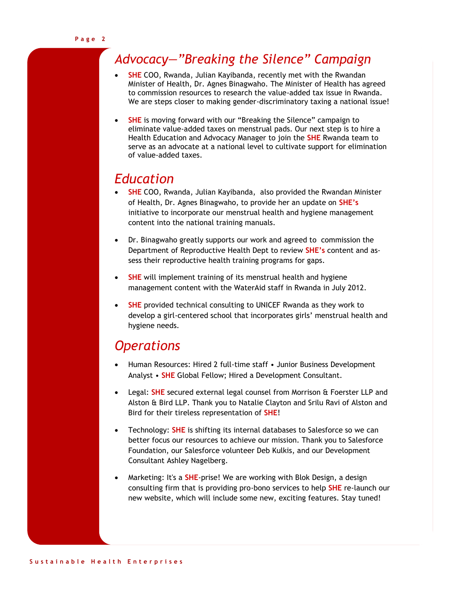# *Advocacy—"Breaking the Silence" Campaign*

- **SHE** COO, Rwanda, Julian Kayibanda, recently met with the Rwandan Minister of Health, Dr. Agnes Binagwaho. The Minister of Health has agreed to commission resources to research the value-added tax issue in Rwanda. We are steps closer to making gender-discriminatory taxing a national issue!
- **SHE** is moving forward with our "Breaking the Silence" campaign to eliminate value-added taxes on menstrual pads. Our next step is to hire a Health Education and Advocacy Manager to join the **SHE** Rwanda team to serve as an advocate at a national level to cultivate support for elimination of value-added taxes.

# *Education*

- **SHE** COO, Rwanda, Julian Kayibanda, also provided the Rwandan Minister of Health, Dr. Agnes Binagwaho, to provide her an update on **SHE's** initiative to incorporate our menstrual health and hygiene management content into the national training manuals.
- Dr. Binagwaho greatly supports our work and agreed to commission the Department of Reproductive Health Dept to review **SHE's** content and assess their reproductive health training programs for gaps.
- **SHE** will implement training of its menstrual health and hygiene management content with the WaterAid staff in Rwanda in July 2012.
- **SHE** provided technical consulting to UNICEF Rwanda as they work to develop a girl-centered school that incorporates girls' menstrual health and hygiene needs.

# *Operations*

- Human Resources: Hired 2 full-time staff Junior Business Development Analyst • **SHE** Global Fellow; Hired a Development Consultant.
- Legal: **SHE** secured external legal counsel from Morrison & Foerster LLP and Alston & Bird LLP. Thank you to Natalie Clayton and Srilu Ravi of Alston and Bird for their tireless representation of **SHE**!
- Technology: **SHE** is shifting its internal databases to Salesforce so we can better focus our resources to achieve our mission. Thank you to Salesforce Foundation, our Salesforce volunteer Deb Kulkis, and our Development Consultant Ashley Nagelberg.
- Marketing: It's a **SHE**-prise! We are working with Blok Design, a design consulting firm that is providing pro-bono services to help **SHE** re-launch our new website, which will include some new, exciting features. Stay tuned!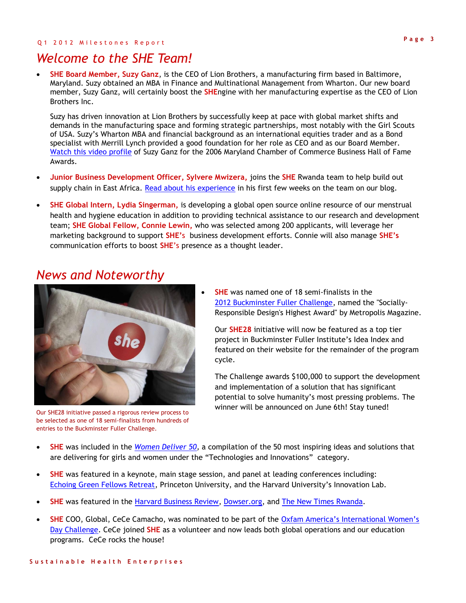#### Q 1 2 0 1 2 Milestones Report

## *Welcome to the SHE Team!*

 **SHE Board Member, Suzy Ganz**, is the CEO of Lion Brothers, a manufacturing firm based in Baltimore, Maryland. Suzy obtained an MBA in Finance and Multinational Management from Wharton. Our new board member, Suzy Ganz, will certainly boost the **SHE**ngine with her manufacturing expertise as the CEO of Lion Brothers Inc.

Suzy has driven innovation at Lion Brothers by successfully keep at pace with global market shifts and demands in the manufacturing space and forming strategic partnerships, most notably with the Girl Scouts of USA. Suzy's Wharton MBA and financial background as an international equities trader and as a Bond specialist with Merrill Lynch provided a good foundation for her role as CEO and as our Board Member. [Watch this video profile](http://www.youtube.com/watch?v=8DjUMMC0Aak) of Suzy Ganz for the 2006 Maryland Chamber of Commerce Business Hall of Fame Awards.

- **Junior Business Development Officer, Sylvere Mwizera,** joins the **SHE** Rwanda team to help build out supply chain in East Africa. [Read about his experience](http://sheinnovates.blogspot.com/2012/04/building-our-supply-chain-in-rwanda.html) in his first few weeks on the team on our blog.
- **SHE Global Intern, Lydia Singerman,** is developing a global open source online resource of our menstrual health and hygiene education in addition to providing technical assistance to our research and development team; **SHE Global Fellow, Connie Lewin,** who was selected among 200 applicants, will leverage her marketing background to support **SHE'**s business development efforts. Connie will also manage **SHE's**  communication efforts to boost **SHE**'s presence as a thought leader.

## *News and Noteworthy*



Our **SHE28** initiative will now be featured as a top tier project in Buckminster Fuller Institute's Idea Index and featured on their website for the remainder of the program cycle.

The Challenge awards \$100,000 to support the development and implementation of a solution that has significant potential to solve humanity's most pressing problems. The winner will be announced on June 6th! Stay tuned!

- **SHE** was included in the *[Women Deliver 50,](http://www.womendeliver.org/knowledge-center/publications/women-deliver-50/technologies-and-innovations#Eco-friendly)* a compilation of the 50 most inspiring ideas and solutions that are delivering for girls and women under the "Technologies and Innovations" category.
- **SHE** was featured in a keynote, main stage session, and panel at leading conferences including: [Echoing Green Fellows Retreat](http://www.echoinggreen.org/blog/game-changing-retreat-in-south-africa), Princeton University, and the Harvard University's Innovation Lab.
- **SHE** was featured in the [Harvard Business Review,](http://blogs.hbr.org/cs/2012/02/how_one_ceo_grows_her_business.html) [Dowser.org,](http://dowser.org/an-unlikely-obstacle-to-girls-education-improving-hygiene-around-the-world/) and [The New Times Rwanda.](http://www.newtimes.co.rw/news/index.php?i=14929&a=51211)
- SHE COO, Global, CeCe Camacho, was nominated to be part of the Oxfam America's International Women's [Day Challenge.](http://oxfamamerica.maker.good.is/projects/CeCeRocksSHE28) CeCe joined **SHE** as a volunteer and now leads both global operations and our education programs. CeCe rocks the house!



be selected as one of 18 semi-finalists from hundreds of

entries to the Buckminster Fuller Challenge.